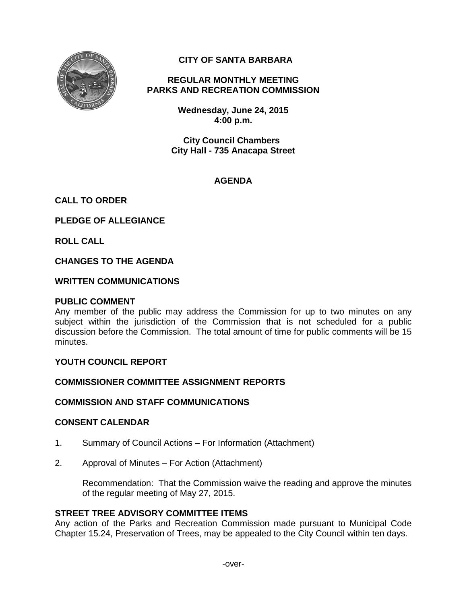

# **CITY OF SANTA BARBARA**

# **REGULAR MONTHLY MEETING PARKS AND RECREATION COMMISSION**

**Wednesday, June 24, 2015 4:00 p.m.** 

**City Council Chambers City Hall - 735 Anacapa Street**

# **AGENDA**

# **CALL TO ORDER**

**PLEDGE OF ALLEGIANCE**

**ROLL CALL**

### **CHANGES TO THE AGENDA**

### **WRITTEN COMMUNICATIONS**

#### **PUBLIC COMMENT**

Any member of the public may address the Commission for up to two minutes on any subject within the jurisdiction of the Commission that is not scheduled for a public discussion before the Commission. The total amount of time for public comments will be 15 minutes.

#### **YOUTH COUNCIL REPORT**

#### **COMMISSIONER COMMITTEE ASSIGNMENT REPORTS**

#### **COMMISSION AND STAFF COMMUNICATIONS**

#### **CONSENT CALENDAR**

- 1. Summary of Council Actions For Information (Attachment)
- 2. Approval of Minutes For Action (Attachment)

Recommendation: That the Commission waive the reading and approve the minutes of the regular meeting of May 27, 2015.

#### **STREET TREE ADVISORY COMMITTEE ITEMS**

Any action of the Parks and Recreation Commission made pursuant to Municipal Code Chapter 15.24, Preservation of Trees, may be appealed to the City Council within ten days.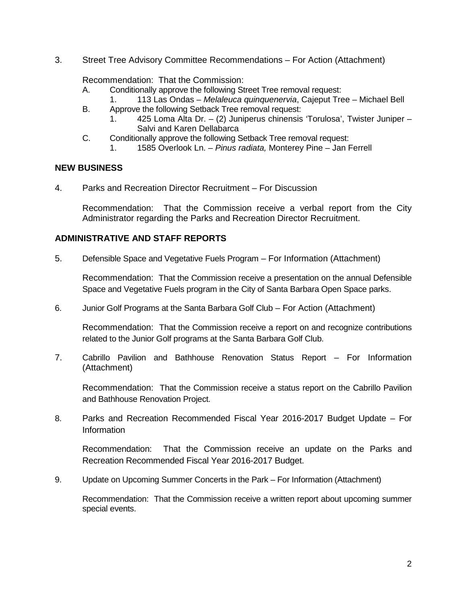3. Street Tree Advisory Committee Recommendations – For Action (Attachment)

### Recommendation: That the Commission:

- A. Conditionally approve the following Street Tree removal request:
- 1. 113 Las Ondas *Melaleuca quinquenervia*, Cajeput Tree Michael Bell
- B. Approve the following Setback Tree removal request:
	- 1. 425 Loma Alta Dr. (2) Juniperus chinensis 'Torulosa', Twister Juniper Salvi and Karen Dellabarca
- C. Conditionally approve the following Setback Tree removal request: 1. 1585 Overlook Ln. – *Pinus radiata,* Monterey Pine – Jan Ferrell

### **NEW BUSINESS**

4. Parks and Recreation Director Recruitment – For Discussion

Recommendation: That the Commission receive a verbal report from the City Administrator regarding the Parks and Recreation Director Recruitment.

# **ADMINISTRATIVE AND STAFF REPORTS**

5. Defensible Space and Vegetative Fuels Program – For Information (Attachment)

Recommendation: That the Commission receive a presentation on the annual Defensible Space and Vegetative Fuels program in the City of Santa Barbara Open Space parks.

6. Junior Golf Programs at the Santa Barbara Golf Club – For Action (Attachment)

Recommendation: That the Commission receive a report on and recognize contributions related to the Junior Golf programs at the Santa Barbara Golf Club.

7. Cabrillo Pavilion and Bathhouse Renovation Status Report – For Information (Attachment)

Recommendation: That the Commission receive a status report on the Cabrillo Pavilion and Bathhouse Renovation Project.

8. Parks and Recreation Recommended Fiscal Year 2016-2017 Budget Update – For Information

Recommendation: That the Commission receive an update on the Parks and Recreation Recommended Fiscal Year 2016-2017 Budget.

9. Update on Upcoming Summer Concerts in the Park – For Information (Attachment)

Recommendation: That the Commission receive a written report about upcoming summer special events.